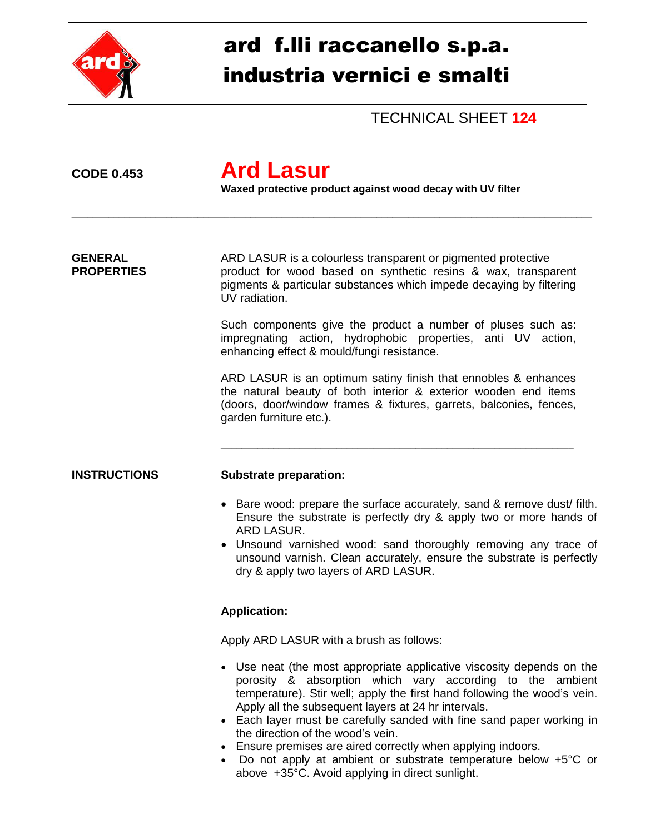

# ard f.lli raccanello s.p.a. industria vernici e smalti

TECHNICAL SHEET **124**

## **CODE 0.453 Ard Lasur**

**Waxed protective product against wood decay with UV filter**

\_\_\_\_\_\_\_\_\_\_\_\_\_\_\_\_\_\_\_\_\_\_\_\_\_\_\_\_\_\_\_\_\_\_\_\_\_\_\_\_\_\_\_\_\_\_\_\_\_\_\_\_\_\_\_\_\_\_\_\_\_\_\_\_\_\_\_\_\_\_\_\_\_\_\_\_\_\_\_\_\_\_\_\_\_\_\_\_\_\_\_\_\_\_\_\_\_\_\_

**GENERAL** ARD LASUR is a colourless transparent or pigmented protective **PROPERTIES** product for wood based on synthetic resins & wax, transparent pigments & particular substances which impede decaying by filtering UV radiation.

> Such components give the product a number of pluses such as: impregnating action, hydrophobic properties, anti UV action, enhancing effect & mould/fungi resistance.

> ARD LASUR is an optimum satiny finish that ennobles & enhances the natural beauty of both interior & exterior wooden end items (doors, door/window frames & fixtures, garrets, balconies, fences, garden furniture etc.).

\_\_\_\_\_\_\_\_\_\_\_\_\_\_\_\_\_\_\_\_\_\_\_\_\_\_\_\_\_\_\_\_\_\_\_\_\_\_\_\_\_\_\_\_\_\_\_\_\_\_\_\_\_\_\_\_\_\_\_\_\_\_\_\_\_\_\_

## **INSTRUCTIONS Substrate preparation:**

- Bare wood: prepare the surface accurately, sand & remove dust/ filth. Ensure the substrate is perfectly dry & apply two or more hands of ARD LASUR.
- Unsound varnished wood: sand thoroughly removing any trace of unsound varnish. Clean accurately, ensure the substrate is perfectly dry & apply two layers of ARD LASUR.

## **Application:**

Apply ARD LASUR with a brush as follows:

- Use neat (the most appropriate applicative viscosity depends on the porosity & absorption which vary according to the ambient temperature). Stir well; apply the first hand following the wood's vein. Apply all the subsequent layers at 24 hr intervals.
- Each layer must be carefully sanded with fine sand paper working in the direction of the wood's vein.
- Ensure premises are aired correctly when applying indoors.
- Do not apply at ambient or substrate temperature below +5°C or above +35°C. Avoid applying in direct sunlight.